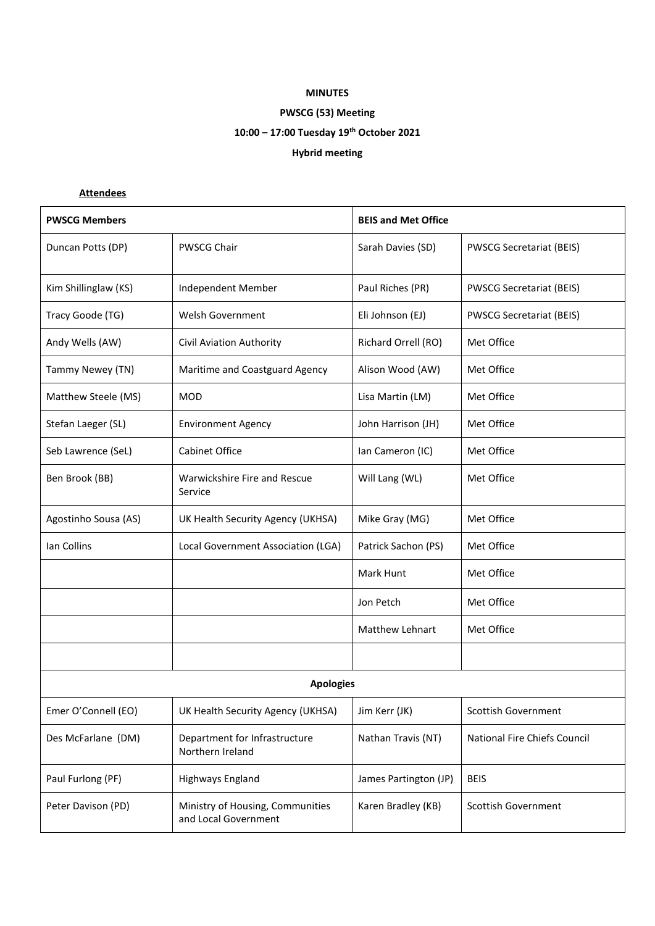## **MINUTES**

# **PWSCG (53) Meeting**

# **10:00 – 17:00 Tuesday 19th October 2021**

## **Hybrid meeting**

## **Attendees**

| <b>PWSCG Members</b> |                                                          | <b>BEIS and Met Office</b> |                                 |  |  |
|----------------------|----------------------------------------------------------|----------------------------|---------------------------------|--|--|
| Duncan Potts (DP)    | <b>PWSCG Chair</b>                                       | Sarah Davies (SD)          | <b>PWSCG Secretariat (BEIS)</b> |  |  |
| Kim Shillinglaw (KS) | Independent Member                                       | Paul Riches (PR)           | <b>PWSCG Secretariat (BEIS)</b> |  |  |
| Tracy Goode (TG)     | Welsh Government                                         | Eli Johnson (EJ)           | <b>PWSCG Secretariat (BEIS)</b> |  |  |
| Andy Wells (AW)      | Civil Aviation Authority                                 | Richard Orrell (RO)        | Met Office                      |  |  |
| Tammy Newey (TN)     | Maritime and Coastguard Agency                           | Alison Wood (AW)           | Met Office                      |  |  |
| Matthew Steele (MS)  | <b>MOD</b>                                               | Lisa Martin (LM)           | Met Office                      |  |  |
| Stefan Laeger (SL)   | <b>Environment Agency</b>                                | John Harrison (JH)         | Met Office                      |  |  |
| Seb Lawrence (SeL)   | <b>Cabinet Office</b>                                    | Ian Cameron (IC)           | Met Office                      |  |  |
| Ben Brook (BB)       | Warwickshire Fire and Rescue<br>Service                  | Will Lang (WL)             | Met Office                      |  |  |
| Agostinho Sousa (AS) | UK Health Security Agency (UKHSA)                        | Mike Gray (MG)             | Met Office                      |  |  |
| Ian Collins          | Local Government Association (LGA)                       | Patrick Sachon (PS)        | Met Office                      |  |  |
|                      |                                                          | Mark Hunt                  | Met Office                      |  |  |
|                      |                                                          | Jon Petch                  | Met Office                      |  |  |
|                      |                                                          | <b>Matthew Lehnart</b>     | Met Office                      |  |  |
|                      |                                                          |                            |                                 |  |  |
| <b>Apologies</b>     |                                                          |                            |                                 |  |  |
| Emer O'Connell (EO)  | UK Health Security Agency (UKHSA)                        | Jim Kerr (JK)              | <b>Scottish Government</b>      |  |  |
| Des McFarlane (DM)   | Department for Infrastructure<br>Northern Ireland        | Nathan Travis (NT)         | National Fire Chiefs Council    |  |  |
| Paul Furlong (PF)    | Highways England                                         | James Partington (JP)      | <b>BEIS</b>                     |  |  |
| Peter Davison (PD)   | Ministry of Housing, Communities<br>and Local Government | Karen Bradley (KB)         | <b>Scottish Government</b>      |  |  |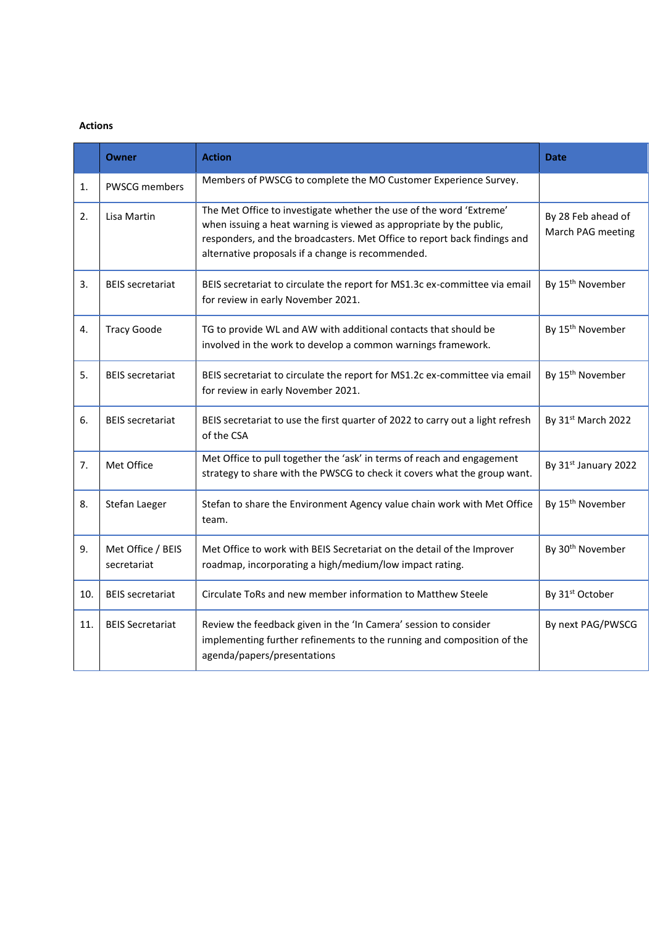### **Actions**

|     | Owner                            | <b>Action</b>                                                                                                                                                                                                                                                               | <b>Date</b>                             |
|-----|----------------------------------|-----------------------------------------------------------------------------------------------------------------------------------------------------------------------------------------------------------------------------------------------------------------------------|-----------------------------------------|
| 1.  | <b>PWSCG members</b>             | Members of PWSCG to complete the MO Customer Experience Survey.                                                                                                                                                                                                             |                                         |
| 2.  | Lisa Martin                      | The Met Office to investigate whether the use of the word 'Extreme'<br>when issuing a heat warning is viewed as appropriate by the public,<br>responders, and the broadcasters. Met Office to report back findings and<br>alternative proposals if a change is recommended. | By 28 Feb ahead of<br>March PAG meeting |
| 3.  | <b>BEIS secretariat</b>          | BEIS secretariat to circulate the report for MS1.3c ex-committee via email<br>for review in early November 2021.                                                                                                                                                            | By 15 <sup>th</sup> November            |
| 4.  | <b>Tracy Goode</b>               | TG to provide WL and AW with additional contacts that should be<br>involved in the work to develop a common warnings framework.                                                                                                                                             | By 15 <sup>th</sup> November            |
| 5.  | <b>BEIS</b> secretariat          | BEIS secretariat to circulate the report for MS1.2c ex-committee via email<br>for review in early November 2021.                                                                                                                                                            | By 15 <sup>th</sup> November            |
| 6.  | <b>BEIS</b> secretariat          | BEIS secretariat to use the first quarter of 2022 to carry out a light refresh<br>of the CSA                                                                                                                                                                                | By 31 <sup>st</sup> March 2022          |
| 7.  | Met Office                       | Met Office to pull together the 'ask' in terms of reach and engagement<br>strategy to share with the PWSCG to check it covers what the group want.                                                                                                                          | By 31st January 2022                    |
| 8.  | Stefan Laeger                    | Stefan to share the Environment Agency value chain work with Met Office<br>team.                                                                                                                                                                                            |                                         |
| 9.  | Met Office / BEIS<br>secretariat | Met Office to work with BEIS Secretariat on the detail of the Improver<br>roadmap, incorporating a high/medium/low impact rating.                                                                                                                                           |                                         |
| 10. | <b>BEIS secretariat</b>          | Circulate ToRs and new member information to Matthew Steele                                                                                                                                                                                                                 | By 31 <sup>st</sup> October             |
| 11. | <b>BEIS Secretariat</b>          | Review the feedback given in the 'In Camera' session to consider<br>implementing further refinements to the running and composition of the<br>agenda/papers/presentations                                                                                                   |                                         |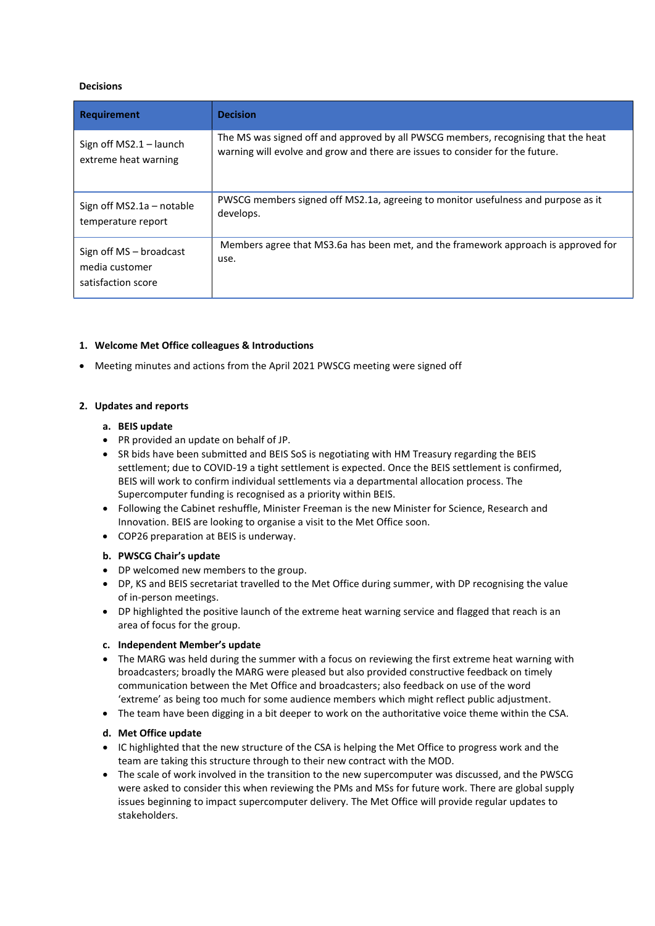#### **Decisions**

| <b>Requirement</b>                                              | <b>Decision</b>                                                                            |  |
|-----------------------------------------------------------------|--------------------------------------------------------------------------------------------|--|
| Sign off $MS2.1 - launch$                                       | The MS was signed off and approved by all PWSCG members, recognising that the heat         |  |
| extreme heat warning                                            | warning will evolve and grow and there are issues to consider for the future.              |  |
| Sign off $MS2.1a$ – notable                                     | PWSCG members signed off MS2.1a, agreeing to monitor usefulness and purpose as it          |  |
| temperature report                                              | develops.                                                                                  |  |
| Sign off MS - broadcast<br>media customer<br>satisfaction score | Members agree that MS3.6a has been met, and the framework approach is approved for<br>use. |  |

### **1. Welcome Met Office colleagues & Introductions**

• Meeting minutes and actions from the April 2021 PWSCG meeting were signed off

### **2. Updates and reports**

### **a. BEIS update**

- PR provided an update on behalf of JP.
- SR bids have been submitted and BEIS SoS is negotiating with HM Treasury regarding the BEIS settlement; due to COVID-19 a tight settlement is expected. Once the BEIS settlement is confirmed, BEIS will work to confirm individual settlements via a departmental allocation process. The Supercomputer funding is recognised as a priority within BEIS.
- Following the Cabinet reshuffle, Minister Freeman is the new Minister for Science, Research and Innovation. BEIS are looking to organise a visit to the Met Office soon.
- COP26 preparation at BEIS is underway.

#### **b. PWSCG Chair's update**

- DP welcomed new members to the group.
- DP, KS and BEIS secretariat travelled to the Met Office during summer, with DP recognising the value of in-person meetings.
- DP highlighted the positive launch of the extreme heat warning service and flagged that reach is an area of focus for the group.

#### **c. Independent Member's update**

- The MARG was held during the summer with a focus on reviewing the first extreme heat warning with broadcasters; broadly the MARG were pleased but also provided constructive feedback on timely communication between the Met Office and broadcasters; also feedback on use of the word 'extreme' as being too much for some audience members which might reflect public adjustment.
- The team have been digging in a bit deeper to work on the authoritative voice theme within the CSA.

#### **d. Met Office update**

- IC highlighted that the new structure of the CSA is helping the Met Office to progress work and the team are taking this structure through to their new contract with the MOD.
- The scale of work involved in the transition to the new supercomputer was discussed, and the PWSCG were asked to consider this when reviewing the PMs and MSs for future work. There are global supply issues beginning to impact supercomputer delivery. The Met Office will provide regular updates to stakeholders.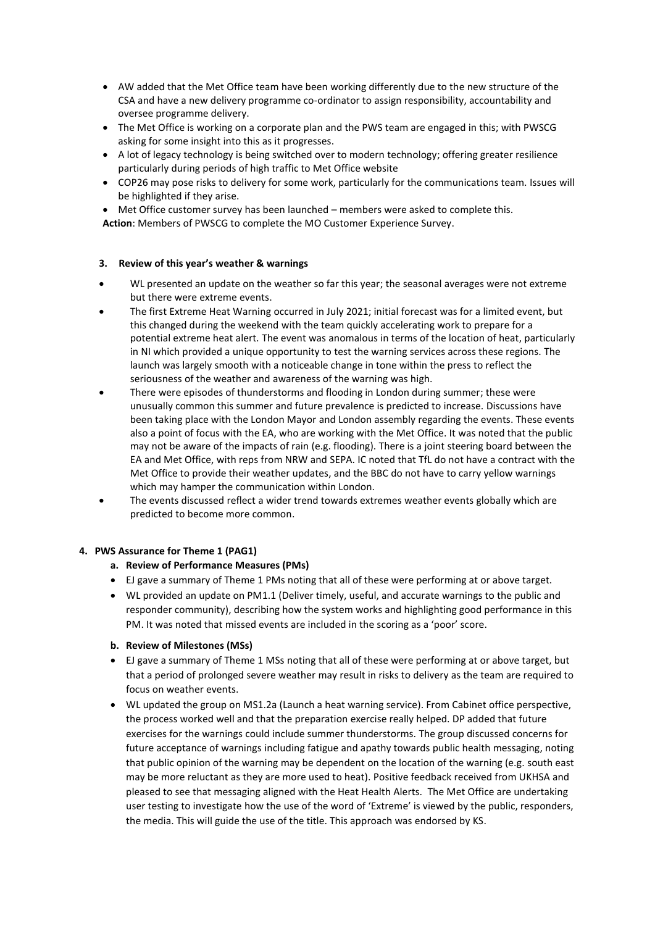- AW added that the Met Office team have been working differently due to the new structure of the CSA and have a new delivery programme co-ordinator to assign responsibility, accountability and oversee programme delivery.
- The Met Office is working on a corporate plan and the PWS team are engaged in this; with PWSCG asking for some insight into this as it progresses.
- A lot of legacy technology is being switched over to modern technology; offering greater resilience particularly during periods of high traffic to Met Office website
- COP26 may pose risks to delivery for some work, particularly for the communications team. Issues will be highlighted if they arise.
- Met Office customer survey has been launched members were asked to complete this.
- **Action**: Members of PWSCG to complete the MO Customer Experience Survey.

#### **3. Review of this year's weather & warnings**

- WL presented an update on the weather so far this year; the seasonal averages were not extreme but there were extreme events.
- The first Extreme Heat Warning occurred in July 2021; initial forecast was for a limited event, but this changed during the weekend with the team quickly accelerating work to prepare for a potential extreme heat alert. The event was anomalous in terms of the location of heat, particularly in NI which provided a unique opportunity to test the warning services across these regions. The launch was largely smooth with a noticeable change in tone within the press to reflect the seriousness of the weather and awareness of the warning was high.
- There were episodes of thunderstorms and flooding in London during summer; these were unusually common this summer and future prevalence is predicted to increase. Discussions have been taking place with the London Mayor and London assembly regarding the events. These events also a point of focus with the EA, who are working with the Met Office. It was noted that the public may not be aware of the impacts of rain (e.g. flooding). There is a joint steering board between the EA and Met Office, with reps from NRW and SEPA. IC noted that TfL do not have a contract with the Met Office to provide their weather updates, and the BBC do not have to carry yellow warnings which may hamper the communication within London.
- The events discussed reflect a wider trend towards extremes weather events globally which are predicted to become more common.

#### **4. PWS Assurance for Theme 1 (PAG1)**

#### **a. Review of Performance Measures (PMs)**

- EJ gave a summary of Theme 1 PMs noting that all of these were performing at or above target.
- WL provided an update on PM1.1 (Deliver timely, useful, and accurate warnings to the public and responder community), describing how the system works and highlighting good performance in this PM. It was noted that missed events are included in the scoring as a 'poor' score.

#### **b. Review of Milestones (MSs)**

- EJ gave a summary of Theme 1 MSs noting that all of these were performing at or above target, but that a period of prolonged severe weather may result in risks to delivery as the team are required to focus on weather events.
- WL updated the group on MS1.2a (Launch a heat warning service). From Cabinet office perspective, the process worked well and that the preparation exercise really helped. DP added that future exercises for the warnings could include summer thunderstorms. The group discussed concerns for future acceptance of warnings including fatigue and apathy towards public health messaging, noting that public opinion of the warning may be dependent on the location of the warning (e.g. south east may be more reluctant as they are more used to heat). Positive feedback received from UKHSA and pleased to see that messaging aligned with the Heat Health Alerts. The Met Office are undertaking user testing to investigate how the use of the word of 'Extreme' is viewed by the public, responders, the media. This will guide the use of the title. This approach was endorsed by KS.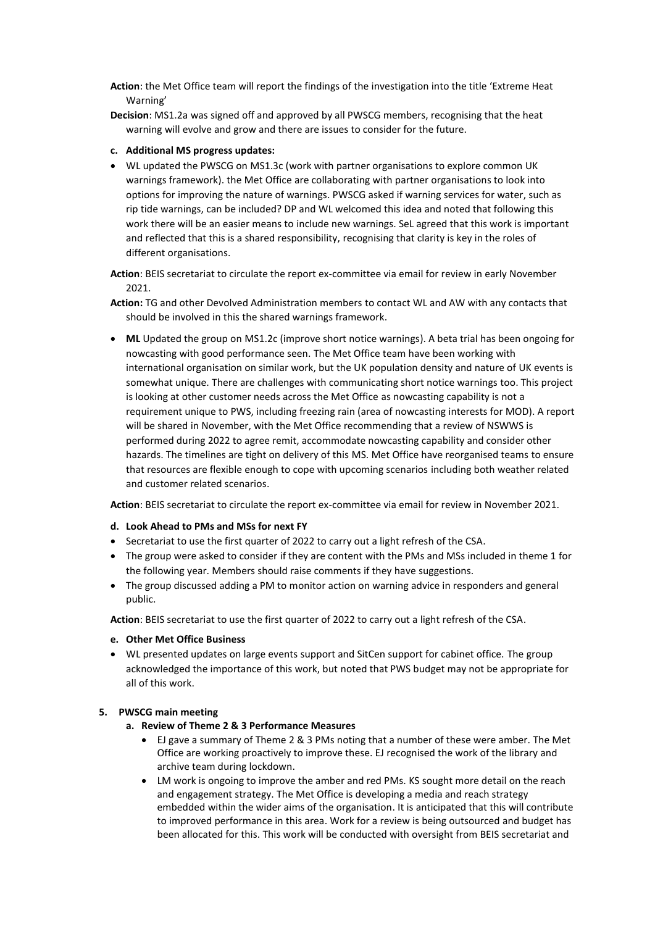**Action**: the Met Office team will report the findings of the investigation into the title 'Extreme Heat Warning'

**Decision**: MS1.2a was signed off and approved by all PWSCG members, recognising that the heat warning will evolve and grow and there are issues to consider for the future.

#### **c. Additional MS progress updates:**

• WL updated the PWSCG on MS1.3c (work with partner organisations to explore common UK warnings framework). the Met Office are collaborating with partner organisations to look into options for improving the nature of warnings. PWSCG asked if warning services for water, such as rip tide warnings, can be included? DP and WL welcomed this idea and noted that following this work there will be an easier means to include new warnings. SeL agreed that this work is important and reflected that this is a shared responsibility, recognising that clarity is key in the roles of different organisations.

**Action**: BEIS secretariat to circulate the report ex-committee via email for review in early November 2021.

**Action:** TG and other Devolved Administration members to contact WL and AW with any contacts that should be involved in this the shared warnings framework.

• **ML** Updated the group on MS1.2c (improve short notice warnings). A beta trial has been ongoing for nowcasting with good performance seen. The Met Office team have been working with international organisation on similar work, but the UK population density and nature of UK events is somewhat unique. There are challenges with communicating short notice warnings too. This project is looking at other customer needs across the Met Office as nowcasting capability is not a requirement unique to PWS, including freezing rain (area of nowcasting interests for MOD). A report will be shared in November, with the Met Office recommending that a review of NSWWS is performed during 2022 to agree remit, accommodate nowcasting capability and consider other hazards. The timelines are tight on delivery of this MS. Met Office have reorganised teams to ensure that resources are flexible enough to cope with upcoming scenarios including both weather related and customer related scenarios.

**Action**: BEIS secretariat to circulate the report ex-committee via email for review in November 2021.

#### **d. Look Ahead to PMs and MSs for next FY**

- Secretariat to use the first quarter of 2022 to carry out a light refresh of the CSA.
- The group were asked to consider if they are content with the PMs and MSs included in theme 1 for the following year. Members should raise comments if they have suggestions.
- The group discussed adding a PM to monitor action on warning advice in responders and general public.

**Action**: BEIS secretariat to use the first quarter of 2022 to carry out a light refresh of the CSA.

#### **e. Other Met Office Business**

• WL presented updates on large events support and SitCen support for cabinet office. The group acknowledged the importance of this work, but noted that PWS budget may not be appropriate for all of this work.

#### **5. PWSCG main meeting**

- **a. Review of Theme 2 & 3 Performance Measures**
	- EJ gave a summary of Theme 2 & 3 PMs noting that a number of these were amber. The Met Office are working proactively to improve these. EJ recognised the work of the library and archive team during lockdown.
	- LM work is ongoing to improve the amber and red PMs. KS sought more detail on the reach and engagement strategy. The Met Office is developing a media and reach strategy embedded within the wider aims of the organisation. It is anticipated that this will contribute to improved performance in this area. Work for a review is being outsourced and budget has been allocated for this. This work will be conducted with oversight from BEIS secretariat and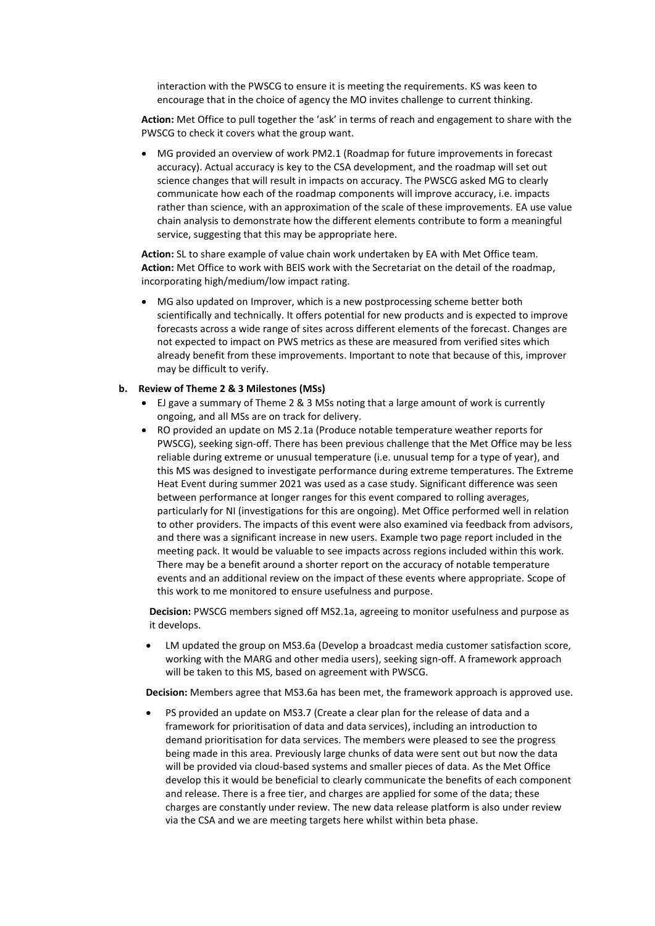interaction with the PWSCG to ensure it is meeting the requirements. KS was keen to encourage that in the choice of agency the MO invites challenge to current thinking.

**Action:** Met Office to pull together the 'ask' in terms of reach and engagement to share with the PWSCG to check it covers what the group want.

• MG provided an overview of work PM2.1 (Roadmap for future improvements in forecast accuracy). Actual accuracy is key to the CSA development, and the roadmap will set out science changes that will result in impacts on accuracy. The PWSCG asked MG to clearly communicate how each of the roadmap components will improve accuracy, i.e. impacts rather than science, with an approximation of the scale of these improvements. EA use value chain analysis to demonstrate how the different elements contribute to form a meaningful service, suggesting that this may be appropriate here.

**Action:** SL to share example of value chain work undertaken by EA with Met Office team. **Action:** Met Office to work with BEIS work with the Secretariat on the detail of the roadmap, incorporating high/medium/low impact rating.

• MG also updated on Improver, which is a new postprocessing scheme better both scientifically and technically. It offers potential for new products and is expected to improve forecasts across a wide range of sites across different elements of the forecast. Changes are not expected to impact on PWS metrics as these are measured from verified sites which already benefit from these improvements. Important to note that because of this, improver may be difficult to verify.

#### **b. Review of Theme 2 & 3 Milestones (MSs)**

- EJ gave a summary of Theme 2 & 3 MSs noting that a large amount of work is currently ongoing, and all MSs are on track for delivery.
- RO provided an update on MS 2.1a (Produce notable temperature weather reports for PWSCG), seeking sign-off. There has been previous challenge that the Met Office may be less reliable during extreme or unusual temperature (i.e. unusual temp for a type of year), and this MS was designed to investigate performance during extreme temperatures. The Extreme Heat Event during summer 2021 was used as a case study. Significant difference was seen between performance at longer ranges for this event compared to rolling averages, particularly for NI (investigations for this are ongoing). Met Office performed well in relation to other providers. The impacts of this event were also examined via feedback from advisors, and there was a significant increase in new users. Example two page report included in the meeting pack. It would be valuable to see impacts across regions included within this work. There may be a benefit around a shorter report on the accuracy of notable temperature events and an additional review on the impact of these events where appropriate. Scope of this work to me monitored to ensure usefulness and purpose.

**Decision:** PWSCG members signed off MS2.1a, agreeing to monitor usefulness and purpose as it develops.

• LM updated the group on MS3.6a (Develop a broadcast media customer satisfaction score, working with the MARG and other media users), seeking sign-off. A framework approach will be taken to this MS, based on agreement with PWSCG.

**Decision:** Members agree that MS3.6a has been met, the framework approach is approved use.

• PS provided an update on MS3.7 (Create a clear plan for the release of data and a framework for prioritisation of data and data services), including an introduction to demand prioritisation for data services. The members were pleased to see the progress being made in this area. Previously large chunks of data were sent out but now the data will be provided via cloud-based systems and smaller pieces of data. As the Met Office develop this it would be beneficial to clearly communicate the benefits of each component and release. There is a free tier, and charges are applied for some of the data; these charges are constantly under review. The new data release platform is also under review via the CSA and we are meeting targets here whilst within beta phase.